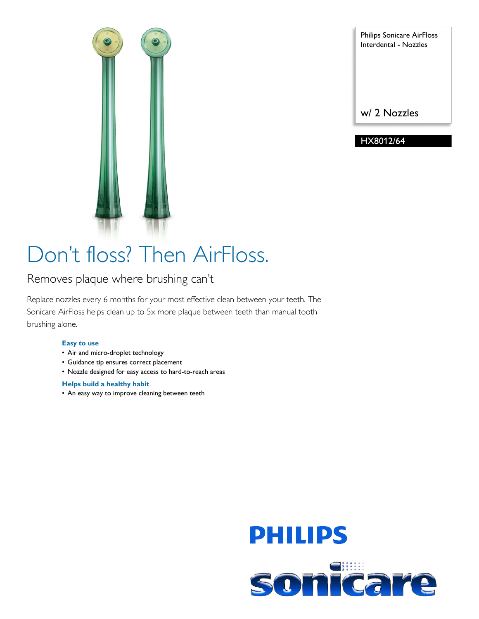

Philips Sonicare AirFloss Interdental - Nozzles

w/ 2 Nozzles

HX8012/64

# Don't floss? Then AirFloss.

### Removes plaque where brushing can't

Replace nozzles every 6 months for your most effective clean between your teeth. The Sonicare AirFloss helps clean up to 5x more plaque between teeth than manual tooth brushing alone.

#### **Easy to use**

- Air and micro-droplet technology
- Guidance tip ensures correct placement
- Nozzle designed for easy access to hard-to-reach areas

#### **Helps build a healthy habit**

• An easy way to improve cleaning between teeth